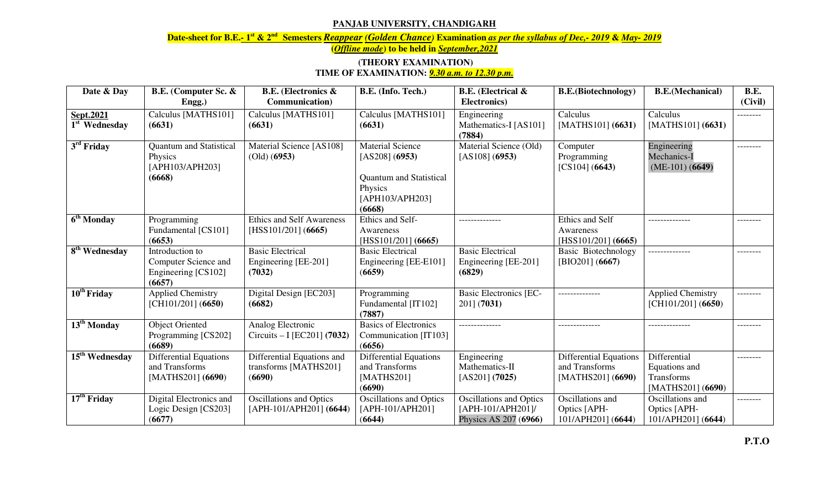## **PANJAB UNIVERSITY, CHANDIGARH**

**Date-sheet for B.E.- 1st & 2nd Semesters** *Reappear (Golden Chance)* **Examination** *as per the syllabus of Dec,- 2019* **&** *May- 2019*

**(***Offline mode***) to be held in** *September,2021*

## **(THEORY EXAMINATION) TIME OF EXAMINATION:** *9.30 a.m. to 12.30 p.m.*

| Date & Day                                 | B.E. (Computer Sc. &<br>Engg.)                                           | <b>B.E.</b> (Electronics &<br>Communication)                      | B.E. (Info. Tech.)                                                                                                  | <b>B.E.</b> (Electrical &<br>Electronics)                                    | <b>B.E.</b> (Biotechnology)                                          | <b>B.E.</b> (Mechanical)                                         | B.E.<br>(Civil) |
|--------------------------------------------|--------------------------------------------------------------------------|-------------------------------------------------------------------|---------------------------------------------------------------------------------------------------------------------|------------------------------------------------------------------------------|----------------------------------------------------------------------|------------------------------------------------------------------|-----------------|
| Sept.2021<br>$\overline{1^{st}}$ Wednesday | Calculus [MATHS101]<br>(6631)                                            | Calculus [MATHS101]<br>(6631)                                     | Calculus [MATHS101]<br>(6631)                                                                                       | Engineering<br>Mathematics-I [AS101]<br>(7884)                               | Calculus<br>[MATHS101] (6631)                                        | Calculus<br>[MATHS101] (6631)                                    | --------        |
| $3rd$ Friday                               | <b>Quantum</b> and Statistical<br>Physics<br>[APH103/APH203]<br>(6668)   | Material Science [AS108]<br>$\left($ Old $\right)$ $\left($ 6953) | <b>Material Science</b><br>[AS208] (6953)<br><b>Quantum and Statistical</b><br>Physics<br>[APH103/APH203]<br>(6668) | Material Science (Old)<br>[AS108] (6953)                                     | Computer<br>Programming<br>[CS104] (6643)                            | Engineering<br>Mechanics-I<br>$(ME-101) (6649)$                  | --------        |
| $\overline{6}^{\text{th}}$ Monday          | Programming<br>Fundamental [CS101]<br>(6653)                             | <b>Ethics and Self Awareness</b><br>[HSS101/201] (6665)           | Ethics and Self-<br>Awareness<br>[HSS101/201] (6665)                                                                |                                                                              | <b>Ethics and Self</b><br>Awareness<br>[HSS101/201] (6665)           |                                                                  | --------        |
| 8 <sup>th</sup> Wednesday                  | Introduction to<br>Computer Science and<br>Engineering [CS102]<br>(6657) | <b>Basic Electrical</b><br>Engineering [EE-201]<br>(7032)         | <b>Basic Electrical</b><br>Engineering [EE-E101]<br>(6659)                                                          | <b>Basic Electrical</b><br>Engineering [EE-201]<br>(6829)                    | <b>Basic Biotechnology</b><br>[BIO201] (6667)                        | .                                                                | --------        |
| 10 <sup>th</sup> Friday                    | <b>Applied Chemistry</b><br>[CH101/201] (6650)                           | Digital Design [EC203]<br>(6682)                                  | Programming<br>Fundamental [IT102]<br>(7887)                                                                        | <b>Basic Electronics [EC-</b><br>2011 (7031)                                 |                                                                      | <b>Applied Chemistry</b><br>[CH101/201] (6650)                   | --------        |
| 13 <sup>th</sup> Monday                    | <b>Object Oriented</b><br>Programming [CS202]<br>(6689)                  | Analog Electronic<br>Circuits - I [EC201] (7032)                  | <b>Basics of Electronics</b><br>Communication [IT103]<br>(6656)                                                     |                                                                              |                                                                      |                                                                  |                 |
| $\overline{15}^{\text{th}}$ Wednesday      | <b>Differential Equations</b><br>and Transforms<br>[MATHS201] (6690)     | Differential Equations and<br>transforms [MATHS201]<br>(6690)     | <b>Differential Equations</b><br>and Transforms<br>[MATHS201]<br>(6690)                                             | Engineering<br>Mathematics-II<br>[AS201] (7025)                              | <b>Differential Equations</b><br>and Transforms<br>[MATHS201] (6690) | Differential<br>Equations and<br>Transforms<br>[MATHS201] (6690) | --------        |
| $17th$ Friday                              | Digital Electronics and<br>Logic Design [CS203]<br>(6677)                | <b>Oscillations and Optics</b><br>$[APH-101/APH201]$ (6644)       | <b>Oscillations and Optics</b><br>[APH-101/APH201]<br>(6644)                                                        | <b>Oscillations and Optics</b><br>[APH-101/APH201]/<br>Physics AS 207 (6966) | Oscillations and<br>Optics [APH-<br>101/APH201] (6644)               | Oscillations and<br>Optics [APH-<br>101/APH201] (6644)           | --------        |